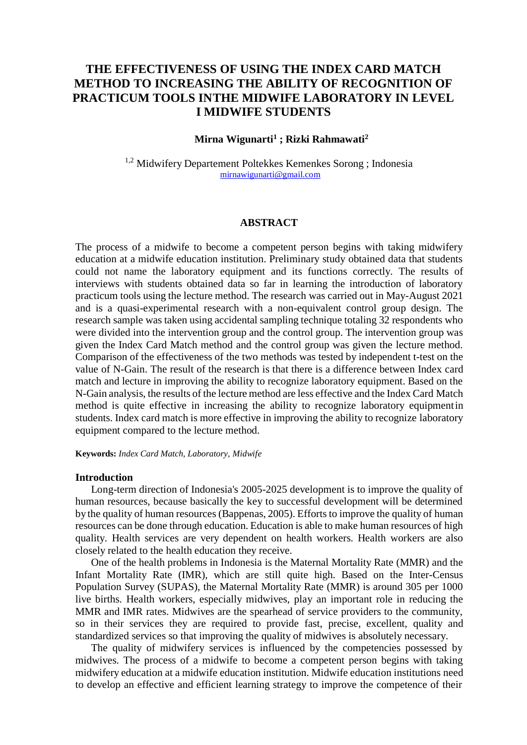# **THE EFFECTIVENESS OF USING THE INDEX CARD MATCH METHOD TO INCREASING THE ABILITY OF RECOGNITION OF PRACTICUM TOOLS INTHE MIDWIFE LABORATORY IN LEVEL I MIDWIFE STUDENTS**

### **Mirna Wigunarti<sup>1</sup> ; Rizki Rahmawati<sup>2</sup>**

<sup>1,2</sup> Midwifery Departement Poltekkes Kemenkes Sorong ; Indonesia [mirnawigunarti@gmail.com](mailto:mirnawigunarti@gmail.com)

#### **ABSTRACT**

The process of a midwife to become a competent person begins with taking midwifery education at a midwife education institution. Preliminary study obtained data that students could not name the laboratory equipment and its functions correctly. The results of interviews with students obtained data so far in learning the introduction of laboratory practicum tools using the lecture method. The research was carried out in May-August 2021 and is a quasi-experimental research with a non-equivalent control group design. The research sample was taken using accidental sampling technique totaling 32 respondents who were divided into the intervention group and the control group. The intervention group was given the Index Card Match method and the control group was given the lecture method. Comparison of the effectiveness of the two methods was tested by independent t-test on the value of N-Gain. The result of the research is that there is a difference between Index card match and lecture in improving the ability to recognize laboratory equipment. Based on the N-Gain analysis, the results of the lecture method are less effective and the Index Card Match method is quite effective in increasing the ability to recognize laboratory equipmentin students. Index card match is more effective in improving the ability to recognize laboratory equipment compared to the lecture method.

**Keywords:** *Index Card Match, Laboratory, Midwife*

#### **Introduction**

Long-term direction of Indonesia's 2005-2025 development is to improve the quality of human resources, because basically the key to successful development will be determined by the quality of human resources (Bappenas, 2005). Efforts to improve the quality of human resources can be done through education. Education is able to make human resources of high quality. Health services are very dependent on health workers. Health workers are also closely related to the health education they receive.

One of the health problems in Indonesia is the Maternal Mortality Rate (MMR) and the Infant Mortality Rate (IMR), which are still quite high. Based on the Inter-Census Population Survey (SUPAS), the Maternal Mortality Rate (MMR) is around 305 per 1000 live births. Health workers, especially midwives, play an important role in reducing the MMR and IMR rates. Midwives are the spearhead of service providers to the community, so in their services they are required to provide fast, precise, excellent, quality and standardized services so that improving the quality of midwives is absolutely necessary.

The quality of midwifery services is influenced by the competencies possessed by midwives. The process of a midwife to become a competent person begins with taking midwifery education at a midwife education institution. Midwife education institutions need to develop an effective and efficient learning strategy to improve the competence of their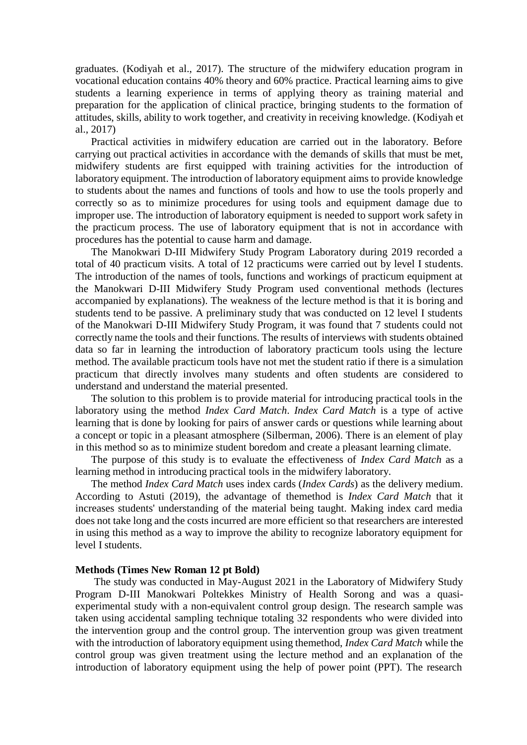graduates. (Kodiyah et al., 2017). The structure of the midwifery education program in vocational education contains 40% theory and 60% practice. Practical learning aims to give students a learning experience in terms of applying theory as training material and preparation for the application of clinical practice, bringing students to the formation of attitudes, skills, ability to work together, and creativity in receiving knowledge. (Kodiyah et al., 2017)

Practical activities in midwifery education are carried out in the laboratory. Before carrying out practical activities in accordance with the demands of skills that must be met, midwifery students are first equipped with training activities for the introduction of laboratory equipment. The introduction of laboratory equipment aims to provide knowledge to students about the names and functions of tools and how to use the tools properly and correctly so as to minimize procedures for using tools and equipment damage due to improper use. The introduction of laboratory equipment is needed to support work safety in the practicum process. The use of laboratory equipment that is not in accordance with procedures has the potential to cause harm and damage.

The Manokwari D-III Midwifery Study Program Laboratory during 2019 recorded a total of 40 practicum visits. A total of 12 practicums were carried out by level I students. The introduction of the names of tools, functions and workings of practicum equipment at the Manokwari D-III Midwifery Study Program used conventional methods (lectures accompanied by explanations). The weakness of the lecture method is that it is boring and students tend to be passive. A preliminary study that was conducted on 12 level I students of the Manokwari D-III Midwifery Study Program, it was found that 7 students could not correctly name the tools and their functions. The results of interviews with students obtained data so far in learning the introduction of laboratory practicum tools using the lecture method. The available practicum tools have not met the student ratio if there is a simulation practicum that directly involves many students and often students are considered to understand and understand the material presented.

The solution to this problem is to provide material for introducing practical tools in the laboratory using the method *Index Card Match*. *Index Card Match* is a type of active learning that is done by looking for pairs of answer cards or questions while learning about a concept or topic in a pleasant atmosphere (Silberman, 2006). There is an element of play in this method so as to minimize student boredom and create a pleasant learning climate.

The purpose of this study is to evaluate the effectiveness of *Index Card Match* as a learning method in introducing practical tools in the midwifery laboratory.

The method *Index Card Match* uses index cards (*Index Cards*) as the delivery medium. According to Astuti (2019), the advantage of themethod is *Index Card Match* that it increases students' understanding of the material being taught. Making index card media does not take long and the costs incurred are more efficient so that researchers are interested in using this method as a way to improve the ability to recognize laboratory equipment for level I students.

#### **Methods (Times New Roman 12 pt Bold)**

The study was conducted in May-August 2021 in the Laboratory of Midwifery Study Program D-III Manokwari Poltekkes Ministry of Health Sorong and was a quasiexperimental study with a non-equivalent control group design. The research sample was taken using accidental sampling technique totaling 32 respondents who were divided into the intervention group and the control group. The intervention group was given treatment with the introduction of laboratory equipment using themethod, *Index Card Match* while the control group was given treatment using the lecture method and an explanation of the introduction of laboratory equipment using the help of power point (PPT). The research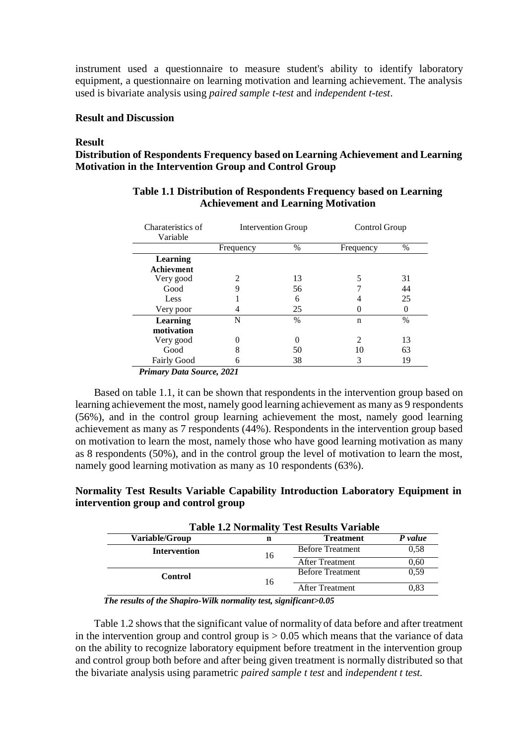instrument used a questionnaire to measure student's ability to identify laboratory equipment, a questionnaire on learning motivation and learning achievement. The analysis used is bivariate analysis using *paired sample t-test* and *independent t-test*.

### **Result and Discussion**

#### **Result**

### **Distribution of Respondents Frequency based on Learning Achievement and Learning Motivation in the Intervention Group and Control Group**

| Charateristics of<br>Variable                                               | Intervention Group |      | Control Group |          |
|-----------------------------------------------------------------------------|--------------------|------|---------------|----------|
|                                                                             | Frequency          | $\%$ | Frequency     | $\%$     |
| <b>Learning</b>                                                             |                    |      |               |          |
| Achievment                                                                  |                    |      |               |          |
| Very good                                                                   |                    | 13   |               | 31       |
| Good                                                                        | 9                  | 56   |               | 44       |
| Less                                                                        |                    | 6    |               | 25       |
| Very poor                                                                   | 4                  | 25   |               | $\theta$ |
| <b>Learning</b>                                                             | N                  | $\%$ | n             | $\%$     |
| motivation                                                                  |                    |      |               |          |
| Very good                                                                   |                    |      | 2             | 13       |
| Good                                                                        | 8                  | 50   | 10            | 63       |
| <b>Fairly Good</b>                                                          | n                  | 38   | 3             | 19       |
| $D_{\text{min}}$ and $D_{\text{max}}$ $C_{\text{max}}$ and $D_{\text{max}}$ |                    |      |               |          |

### **Table 1.1 Distribution of Respondents Frequency based on Learning Achievement and Learning Motivation**

*Primary Data Source, 2021*

Based on table 1.1, it can be shown that respondents in the intervention group based on learning achievement the most, namely good learning achievement as many as 9 respondents (56%), and in the control group learning achievement the most, namely good learning achievement as many as 7 respondents (44%). Respondents in the intervention group based on motivation to learn the most, namely those who have good learning motivation as many as 8 respondents (50%), and in the control group the level of motivation to learn the most, namely good learning motivation as many as 10 respondents (63%).

### **Normality Test Results Variable Capability Introduction Laboratory Equipment in intervention group and control group**

| <b>Table 1.2 Normality Test Results Variable</b> |                         |         |  |
|--------------------------------------------------|-------------------------|---------|--|
| n                                                | <b>Treatment</b>        | P value |  |
|                                                  | <b>Before Treatment</b> | 0.58    |  |
|                                                  | <b>After Treatment</b>  | 0,60    |  |
|                                                  | <b>Before Treatment</b> | 0.59    |  |
|                                                  | <b>After Treatment</b>  | 0.83    |  |
|                                                  | 16<br>16                |         |  |

*The results of the Shapiro-Wilk normality test, significant>0.05*

Table 1.2 shows that the significant value of normality of data before and after treatment in the intervention group and control group is  $> 0.05$  which means that the variance of data on the ability to recognize laboratory equipment before treatment in the intervention group and control group both before and after being given treatment is normally distributed so that the bivariate analysis using parametric *paired sample t test* and *independent t test.*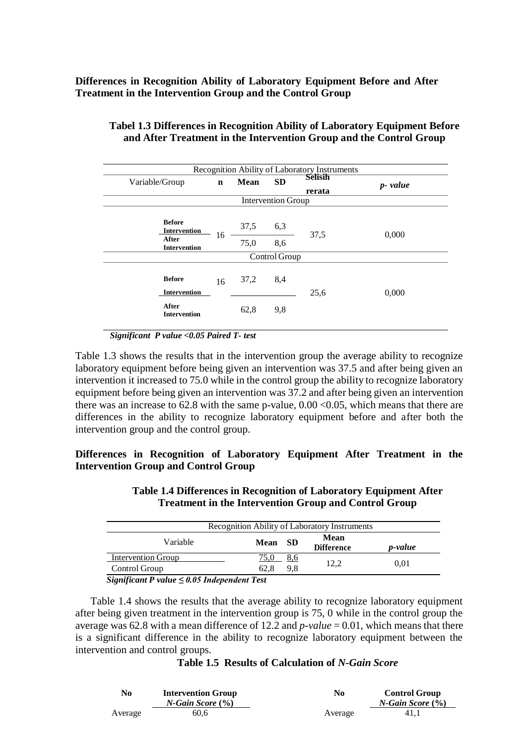**Differences in Recognition Ability of Laboratory Equipment Before and After Treatment in the Intervention Group and the Control Group**

|                                      |             |             |                           | Recognition Ability of Laboratory Instruments |          |
|--------------------------------------|-------------|-------------|---------------------------|-----------------------------------------------|----------|
| Variable/Group                       | $\mathbf n$ | <b>Mean</b> | <b>SD</b>                 | <b>Selisih</b><br>rerata                      | p- value |
|                                      |             |             | <b>Intervention Group</b> |                                               |          |
| <b>Before</b><br><b>Intervention</b> |             | 37,5        | 6,3                       | 37,5                                          | 0,000    |
| After<br><b>Intervention</b>         | 16          | 75,0        | 8,6                       |                                               |          |
|                                      |             |             | Control Group             |                                               |          |
| <b>Before</b><br><b>Intervention</b> | 16          | 37,2        | 8,4                       | 25,6                                          | 0,000    |
| After<br><b>Intervention</b>         |             | 62,8        | 9,8                       |                                               |          |

## **Tabel 1.3 Differences in Recognition Ability of Laboratory Equipment Before and After Treatment in the Intervention Group and the Control Group**

*Significant P value <0.05 Paired T- test*

Table 1.3 shows the results that in the intervention group the average ability to recognize laboratory equipment before being given an intervention was 37.5 and after being given an intervention it increased to 75.0 while in the control group the ability to recognize laboratory equipment before being given an intervention was 37.2 and after being given an intervention there was an increase to  $62.8$  with the same p-value,  $0.00 < 0.05$ , which means that there are differences in the ability to recognize laboratory equipment before and after both the intervention group and the control group.

### **Differences in Recognition of Laboratory Equipment After Treatment in the Intervention Group and Control Group**

| Recognition Ability of Laboratory Instruments |             |                           |                 |  |
|-----------------------------------------------|-------------|---------------------------|-----------------|--|
| Variable                                      | Mean SD     | Mean<br><b>Difference</b> | <i>p</i> -value |  |
| <b>Intervention Group</b>                     | 8,6<br>75.0 |                           |                 |  |
| Control Group                                 | 9.8<br>62.8 | 12.2                      | 0.01            |  |

**Table 1.4 Differences in Recognition of Laboratory Equipment After Treatment in the Intervention Group and Control Group**

*Significant P value ≤ 0.05 Independent Test*

Table 1.4 shows the results that the average ability to recognize laboratory equipment after being given treatment in the intervention group is 75, 0 while in the control group the average was 62.8 with a mean difference of 12.2 and  $p$ -value = 0.01, which means that there is a significant difference in the ability to recognize laboratory equipment between the intervention and control groups.

### **Table 1.5 Results of Calculation of** *N-Gain Score*

| No      | <b>Intervention Group</b> | No      | <b>Control Group</b>    |
|---------|---------------------------|---------|-------------------------|
|         | $N$ -Gain Score $(\% )$   |         | $N$ -Gain Score $(\% )$ |
| Average | 60.6                      | Average | 41.1                    |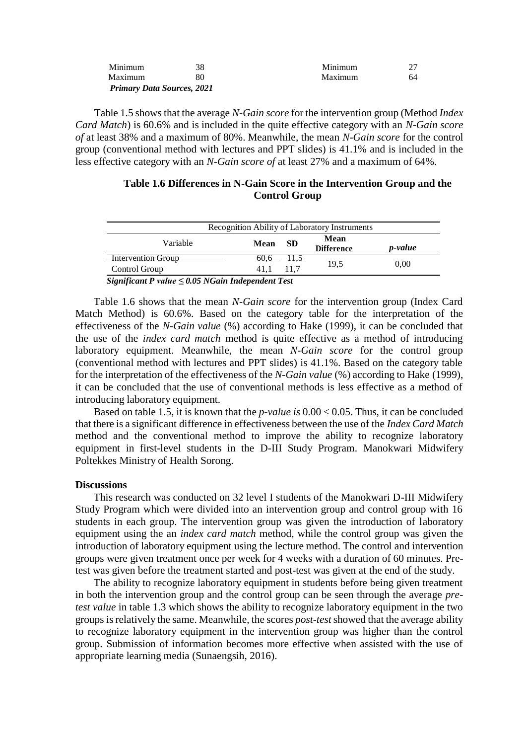| <b>Primary Data Sources, 2021</b> |    |         |     |
|-----------------------------------|----|---------|-----|
| Maximum                           | 80 | Maximum | 64. |
| Minimum                           | 38 | Minimum |     |

Table 1.5 showsthat the average *N-Gain score* for the intervention group (Method *Index Card Match*) is 60.6% and is included in the quite effective category with an *N-Gain score of* at least 38% and a maximum of 80%. Meanwhile, the mean *N-Gain score* for the control group (conventional method with lectures and PPT slides) is 41.1% and is included in the less effective category with an *N-Gain score of* at least 27% and a maximum of 64%.

### **Table 1.6 Differences in N-Gain Score in the Intervention Group and the Control Group**

|                           |      |           | Recognition Ability of Laboratory Instruments |                 |
|---------------------------|------|-----------|-----------------------------------------------|-----------------|
| Variable                  | Mean | <b>SD</b> | Mean<br><b>Difference</b>                     | <i>p</i> -value |
| <b>Intervention Group</b> | 60,6 | 11,5      |                                               | 0.00            |
| Control Group             | 41.1 | 11.7      | 19.5                                          |                 |

*Significant P value ≤ 0.05 NGain Independent Test*

Table 1.6 shows that the mean *N-Gain score* for the intervention group (Index Card Match Method) is 60.6%. Based on the category table for the interpretation of the effectiveness of the *N-Gain value* (%) according to Hake (1999), it can be concluded that the use of the *index card match* method is quite effective as a method of introducing laboratory equipment. Meanwhile, the mean *N-Gain score* for the control group (conventional method with lectures and PPT slides) is 41.1%. Based on the category table for the interpretation of the effectiveness of the *N-Gain value* (%) according to Hake (1999), it can be concluded that the use of conventional methods is less effective as a method of introducing laboratory equipment.

Based on table 1.5, it is known that the *p-value is* 0.00 < 0.05. Thus, it can be concluded that there is a significant difference in effectiveness between the use of the *Index Card Match* method and the conventional method to improve the ability to recognize laboratory equipment in first-level students in the D-III Study Program. Manokwari Midwifery Poltekkes Ministry of Health Sorong.

#### **Discussions**

This research was conducted on 32 level I students of the Manokwari D-III Midwifery Study Program which were divided into an intervention group and control group with 16 students in each group. The intervention group was given the introduction of laboratory equipment using the an *index card match* method, while the control group was given the introduction of laboratory equipment using the lecture method. The control and intervention groups were given treatment once per week for 4 weeks with a duration of 60 minutes. Pretest was given before the treatment started and post-test was given at the end of the study.

The ability to recognize laboratory equipment in students before being given treatment in both the intervention group and the control group can be seen through the average *pretest value* in table 1.3 which shows the ability to recognize laboratory equipment in the two groups isrelatively the same. Meanwhile, the scores *post-test*showed that the average ability to recognize laboratory equipment in the intervention group was higher than the control group. Submission of information becomes more effective when assisted with the use of appropriate learning media (Sunaengsih, 2016).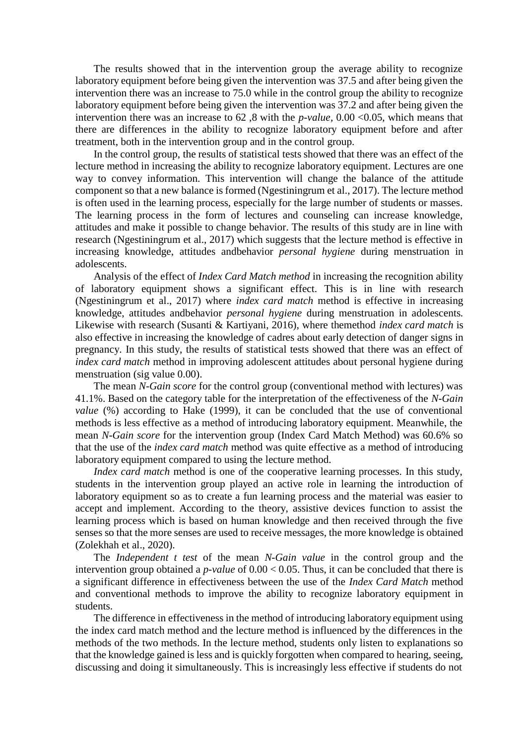The results showed that in the intervention group the average ability to recognize laboratory equipment before being given the intervention was 37.5 and after being given the intervention there was an increase to 75.0 while in the control group the ability to recognize laboratory equipment before being given the intervention was 37.2 and after being given the intervention there was an increase to 62 ,8 with the *p-value,* 0.00 <0.05, which means that there are differences in the ability to recognize laboratory equipment before and after treatment, both in the intervention group and in the control group.

In the control group, the results of statistical tests showed that there was an effect of the lecture method in increasing the ability to recognize laboratory equipment. Lectures are one way to convey information. This intervention will change the balance of the attitude component so that a new balance is formed (Ngestiningrum et al., 2017). The lecture method is often used in the learning process, especially for the large number of students or masses. The learning process in the form of lectures and counseling can increase knowledge, attitudes and make it possible to change behavior. The results of this study are in line with research (Ngestiningrum et al., 2017) which suggests that the lecture method is effective in increasing knowledge, attitudes andbehavior *personal hygiene* during menstruation in adolescents.

Analysis of the effect of *Index Card Match method* in increasing the recognition ability of laboratory equipment shows a significant effect. This is in line with research (Ngestiningrum et al., 2017) where *index card match* method is effective in increasing knowledge, attitudes andbehavior *personal hygiene* during menstruation in adolescents. Likewise with research (Susanti & Kartiyani, 2016), where themethod *index card match* is also effective in increasing the knowledge of cadres about early detection of danger signs in pregnancy. In this study, the results of statistical tests showed that there was an effect of *index card match* method in improving adolescent attitudes about personal hygiene during menstruation (sig value 0.00).

The mean *N-Gain score* for the control group (conventional method with lectures) was 41.1%. Based on the category table for the interpretation of the effectiveness of the *N-Gain value* (%) according to Hake (1999), it can be concluded that the use of conventional methods is less effective as a method of introducing laboratory equipment. Meanwhile, the mean *N-Gain score* for the intervention group (Index Card Match Method) was 60.6% so that the use of the *index card match* method was quite effective as a method of introducing laboratory equipment compared to using the lecture method.

*Index card match* method is one of the cooperative learning processes. In this study, students in the intervention group played an active role in learning the introduction of laboratory equipment so as to create a fun learning process and the material was easier to accept and implement. According to the theory, assistive devices function to assist the learning process which is based on human knowledge and then received through the five senses so that the more senses are used to receive messages, the more knowledge is obtained (Zolekhah et al., 2020).

The *Independent t test* of the mean *N-Gain value* in the control group and the intervention group obtained a *p-value* of 0.00 < 0.05. Thus, it can be concluded that there is a significant difference in effectiveness between the use of the *Index Card Match* method and conventional methods to improve the ability to recognize laboratory equipment in students.

The difference in effectiveness in the method of introducing laboratory equipment using the index card match method and the lecture method is influenced by the differences in the methods of the two methods. In the lecture method, students only listen to explanations so that the knowledge gained is less and is quickly forgotten when compared to hearing, seeing, discussing and doing it simultaneously. This is increasingly less effective if students do not